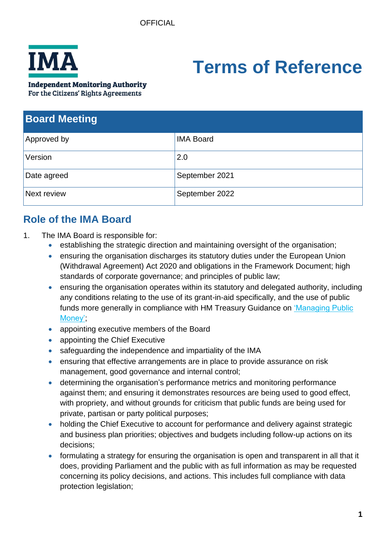

# **Terms of Reference**

#### **Independent Monitoring Authority**

For the Citizens' Rights Agreements

| <b>Board Meeting</b> |                  |
|----------------------|------------------|
| Approved by          | <b>IMA Board</b> |
| Version              | 2.0              |
| Date agreed          | September 2021   |
| Next review          | September 2022   |

# **Role of the IMA Board**

- 1. The IMA Board is responsible for:
	- establishing the strategic direction and maintaining oversight of the organisation;
	- ensuring the organisation discharges its statutory duties under the European Union (Withdrawal Agreement) Act 2020 and obligations in the Framework Document; high standards of corporate governance; and principles of public law;
	- ensuring the organisation operates within its statutory and delegated authority, including any conditions relating to the use of its grant-in-aid specifically, and the use of public funds more generally in compliance with HM Treasury Guidance on ['Managing Public](https://www.gov.uk/government/publications/managing-public-money)  [Money';](https://www.gov.uk/government/publications/managing-public-money)
	- appointing executive members of the Board
	- appointing the Chief Executive
	- safeguarding the independence and impartiality of the IMA
	- ensuring that effective arrangements are in place to provide assurance on risk management, good governance and internal control;
	- determining the organisation's performance metrics and monitoring performance against them; and ensuring it demonstrates resources are being used to good effect, with propriety, and without grounds for criticism that public funds are being used for private, partisan or party political purposes;
	- holding the Chief Executive to account for performance and delivery against strategic and business plan priorities; objectives and budgets including follow-up actions on its decisions;
	- formulating a strategy for ensuring the organisation is open and transparent in all that it does, providing Parliament and the public with as full information as may be requested concerning its policy decisions, and actions. This includes full compliance with data protection legislation;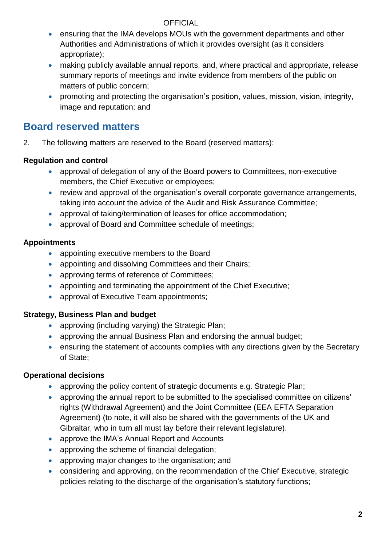- ensuring that the IMA develops MOUs with the government departments and other Authorities and Administrations of which it provides oversight (as it considers appropriate);
- making publicly available annual reports, and, where practical and appropriate, release summary reports of meetings and invite evidence from members of the public on matters of public concern;
- promoting and protecting the organisation's position, values, mission, vision, integrity, image and reputation; and

# **Board reserved matters**

2. The following matters are reserved to the Board (reserved matters):

## **Regulation and control**

- approval of delegation of any of the Board powers to Committees, non-executive members, the Chief Executive or employees;
- review and approval of the organisation's overall corporate governance arrangements, taking into account the advice of the Audit and Risk Assurance Committee;
- approval of taking/termination of leases for office accommodation;
- approval of Board and Committee schedule of meetings;

## **Appointments**

- appointing executive members to the Board
- appointing and dissolving Committees and their Chairs;
- approving terms of reference of Committees;
- appointing and terminating the appointment of the Chief Executive;
- approval of Executive Team appointments;

## **Strategy, Business Plan and budget**

- approving (including varying) the Strategic Plan;
- approving the annual Business Plan and endorsing the annual budget;
- ensuring the statement of accounts complies with any directions given by the Secretary of State;

## **Operational decisions**

- approving the policy content of strategic documents e.g. Strategic Plan;
- approving the annual report to be submitted to the specialised committee on citizens' rights (Withdrawal Agreement) and the Joint Committee (EEA EFTA Separation Agreement) (to note, it will also be shared with the governments of the UK and Gibraltar, who in turn all must lay before their relevant legislature).
- approve the IMA's Annual Report and Accounts
- approving the scheme of financial delegation;
- approving major changes to the organisation; and
- considering and approving, on the recommendation of the Chief Executive, strategic policies relating to the discharge of the organisation's statutory functions;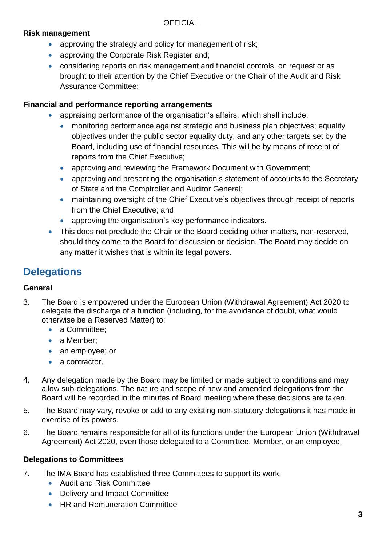#### **Risk management**

- approving the strategy and policy for management of risk;
- approving the Corporate Risk Register and;
- considering reports on risk management and financial controls, on request or as brought to their attention by the Chief Executive or the Chair of the Audit and Risk Assurance Committee;

#### **Financial and performance reporting arrangements**

- appraising performance of the organisation's affairs, which shall include:
	- monitoring performance against strategic and business plan objectives; equality objectives under the public sector equality duty; and any other targets set by the Board, including use of financial resources. This will be by means of receipt of reports from the Chief Executive;
	- approving and reviewing the Framework Document with Government;
	- approving and presenting the organisation's statement of accounts to the Secretary of State and the Comptroller and Auditor General;
	- maintaining oversight of the Chief Executive's objectives through receipt of reports from the Chief Executive; and
	- approving the organisation's key performance indicators.
- This does not preclude the Chair or the Board deciding other matters, non-reserved, should they come to the Board for discussion or decision. The Board may decide on any matter it wishes that is within its legal powers.

# **Delegations**

## **General**

- 3. The Board is empowered under the European Union (Withdrawal Agreement) Act 2020 to delegate the discharge of a function (including, for the avoidance of doubt, what would otherwise be a Reserved Matter) to:
	- a Committee;
	- a Member:
	- an employee; or
	- a contractor.
- 4. Any delegation made by the Board may be limited or made subject to conditions and may allow sub-delegations. The nature and scope of new and amended delegations from the Board will be recorded in the minutes of Board meeting where these decisions are taken.
- 5. The Board may vary, revoke or add to any existing non-statutory delegations it has made in exercise of its powers.
- 6. The Board remains responsible for all of its functions under the European Union (Withdrawal Agreement) Act 2020, even those delegated to a Committee, Member, or an employee.

#### **Delegations to Committees**

- 7. The IMA Board has established three Committees to support its work:
	- Audit and Risk Committee
	- Delivery and Impact Committee
	- HR and Remuneration Committee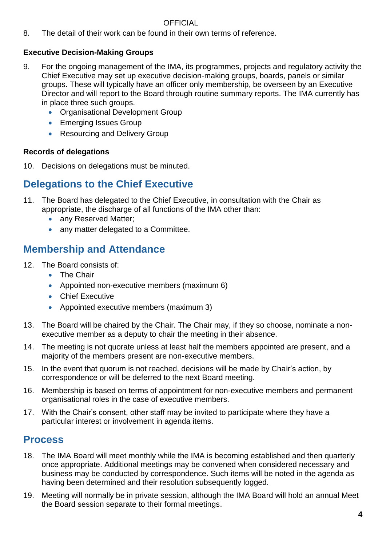8. The detail of their work can be found in their own terms of reference.

## **Executive Decision-Making Groups**

- 9. For the ongoing management of the IMA, its programmes, projects and regulatory activity the Chief Executive may set up executive decision-making groups, boards, panels or similar groups. These will typically have an officer only membership, be overseen by an Executive Director and will report to the Board through routine summary reports. The IMA currently has in place three such groups.
	- Organisational Development Group
	- Emerging Issues Group
	- Resourcing and Delivery Group

## **Records of delegations**

10. Decisions on delegations must be minuted.

# **Delegations to the Chief Executive**

- 11. The Board has delegated to the Chief Executive, in consultation with the Chair as appropriate, the discharge of all functions of the IMA other than:
	- any Reserved Matter:
	- any matter delegated to a Committee.

# **Membership and Attendance**

- 12. The Board consists of:
	- The Chair
	- Appointed non-executive members (maximum 6)
	- Chief Executive
	- Appointed executive members (maximum 3)
- 13. The Board will be chaired by the Chair. The Chair may, if they so choose, nominate a nonexecutive member as a deputy to chair the meeting in their absence.
- 14. The meeting is not quorate unless at least half the members appointed are present, and a majority of the members present are non-executive members.
- 15. In the event that quorum is not reached, decisions will be made by Chair's action, by correspondence or will be deferred to the next Board meeting.
- 16. Membership is based on terms of appointment for non-executive members and permanent organisational roles in the case of executive members.
- 17. With the Chair's consent, other staff may be invited to participate where they have a particular interest or involvement in agenda items.

# **Process**

- 18. The IMA Board will meet monthly while the IMA is becoming established and then quarterly once appropriate. Additional meetings may be convened when considered necessary and business may be conducted by correspondence. Such items will be noted in the agenda as having been determined and their resolution subsequently logged.
- 19. Meeting will normally be in private session, although the IMA Board will hold an annual Meet the Board session separate to their formal meetings.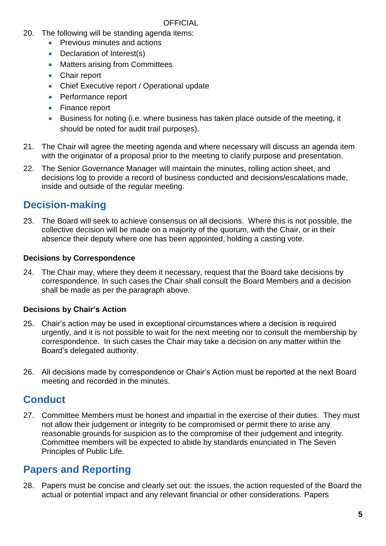- 20. The following will be standing agenda items:
	- Previous minutes and actions
	- Declaration of Interest(s)
	- Matters arising from Committees
	- Chair report
	- Chief Executive report / Operational update
	- Performance report
	- Finance report
	- Business for noting (i.e. where business has taken place outside of the meeting, it should be noted for audit trail purposes).
- 21. The Chair will agree the meeting agenda and where necessary will discuss an agenda item with the originator of a proposal prior to the meeting to clarify purpose and presentation.
- 22. The Senior Governance Manager will maintain the minutes, rolling action sheet, and decisions log to provide a record of business conducted and decisions/escalations made, inside and outside of the regular meeting.

# **Decision-making**

23. The Board will seek to achieve consensus on all decisions. Where this is not possible, the collective decision will be made on a majority of the quorum, with the Chair, or in their absence their deputy where one has been appointed, holding a casting vote.

## **Decisions by Correspondence**

24. The Chair may, where they deem it necessary, request that the Board take decisions by correspondence. In such cases the Chair shall consult the Board Members and a decision shall be made as per the paragraph above.

## **Decisions by Chair's Action**

- 25. Chair's action may be used in exceptional circumstances where a decision is required urgently, and it is not possible to wait for the next meeting nor to consult the membership by correspondence. In such cases the Chair may take a decision on any matter within the Board's delegated authority.
- 26. All decisions made by correspondence or Chair's Action must be reported at the next Board meeting and recorded in the minutes.

# **Conduct**

27. Committee Members must be honest and impartial in the exercise of their duties. They must not allow their judgement or integrity to be compromised or permit there to arise any reasonable grounds for suspicion as to the compromise of their judgement and integrity. Committee members will be expected to abide by standards enunciated in The Seven Principles of Public Life.

# **Papers and Reporting**

28. Papers must be concise and clearly set out: the issues, the action requested of the Board the actual or potential impact and any relevant financial or other considerations. Papers